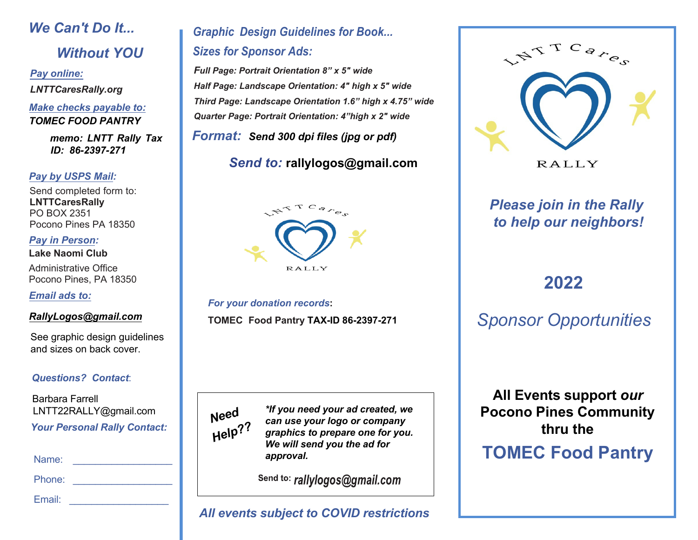# *We Can't Do It... Without YOU*

*Pay online: LNTTCaresRally.org*

#### *Make checks payable to: TOMEC FOOD PANTRY*

*memo: LNTT Rally Tax ID: 86-2397-271*

#### *Pay by USPS Mail:*

Send completed form to: **LNTTCaresRally** PO BOX 2351 Pocono Pines PA 18350

*Pay in Person:* **Lake Naomi Club**

Administrative Office Pocono Pines, PA 18350

*Email ads to:*

#### *RallyLogos@gmail.com*

See graphic design guidelines and sizes on back cover.

#### *Questions? Contact*:

Barbara Farrell LNTT22RALLY@gmail.com *Your Personal Rally Contact:*

Name:

Phone: \_\_\_\_\_\_\_\_\_\_\_\_\_\_\_\_\_\_

Email:  $\blacksquare$ 

## *Graphic Design Guidelines for Book... Sizes for Sponsor Ads:*

*Full Page: Portrait Orientation 8" x 5" wide Half Page: Landscape Orientation: 4" high x 5" wide Third Page: Landscape Orientation 1.6" high x 4.75" wide Quarter Page: Portrait Orientation: 4"high x 2" wide* 

*Format: Send 300 dpi files (jpg or pdf)*

## *Send to:* **rallylogos@gmail.com**



*For your donation records***: TOMEC Food Pantry TAX-ID 86-2397-271**



*\*If you need your ad created, we can use your logo or company graphics to prepare one for you. We will send you the ad for approval.*

Send to: rallylogos@gmail.com

### *All events subject to COVID restrictions*



**RALLY** 

## *Please join in the Rally to help our neighbors!*

# **2022**

*Sponsor Opportunities*

**All Events support** *our* **Pocono Pines Community thru the**

# **TOMEC Food Pantry**